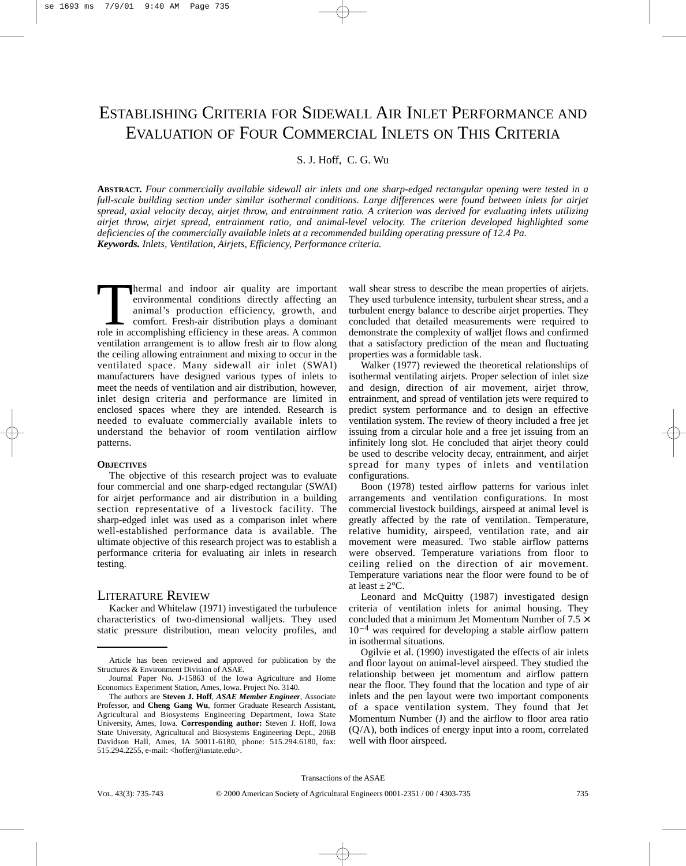# ESTABLISHING CRITERIA FOR SIDEWALL AIR INLET PERFORMANCE AND EVALUATION OF FOUR COMMERCIAL INLETS ON THIS CRITERIA

# S. J. Hoff, C. G. Wu

**ABSTRACT.** *Four commercially available sidewall air inlets and one sharp-edged rectangular opening were tested in a full-scale building section under similar isothermal conditions. Large differences were found between inlets for airjet spread, axial velocity decay, airjet throw, and entrainment ratio. A criterion was derived for evaluating inlets utilizing airjet throw, airjet spread, entrainment ratio, and animal-level velocity. The criterion developed highlighted some deficiencies of the commercially available inlets at a recommended building operating pressure of 12.4 Pa. Keywords. Inlets, Ventilation, Airjets, Efficiency, Performance criteria.*

**Thermal and indoor air quality are important** environmental conditions directly affecting an animal's production efficiency, growth, and comfort. Fresh-air distribution plays a dominant role in accomplishing efficiency in environmental conditions directly affecting an animal's production efficiency, growth, and comfort. Fresh-air distribution plays a dominant ventilation arrangement is to allow fresh air to flow along the ceiling allowing entrainment and mixing to occur in the ventilated space. Many sidewall air inlet (SWAI) manufacturers have designed various types of inlets to meet the needs of ventilation and air distribution, however, inlet design criteria and performance are limited in enclosed spaces where they are intended. Research is needed to evaluate commercially available inlets to understand the behavior of room ventilation airflow patterns.

#### **OBJECTIVES**

The objective of this research project was to evaluate four commercial and one sharp-edged rectangular (SWAI) for airjet performance and air distribution in a building section representative of a livestock facility. The sharp-edged inlet was used as a comparison inlet where well-established performance data is available. The ultimate objective of this research project was to establish a performance criteria for evaluating air inlets in research testing.

#### LITERATURE REVIEW

Kacker and Whitelaw (1971) investigated the turbulence characteristics of two-dimensional walljets. They used static pressure distribution, mean velocity profiles, and

wall shear stress to describe the mean properties of airjets. They used turbulence intensity, turbulent shear stress, and a turbulent energy balance to describe airjet properties. They concluded that detailed measurements were required to demonstrate the complexity of walljet flows and confirmed that a satisfactory prediction of the mean and fluctuating properties was a formidable task.

Walker (1977) reviewed the theoretical relationships of isothermal ventilating airjets. Proper selection of inlet size and design, direction of air movement, airjet throw, entrainment, and spread of ventilation jets were required to predict system performance and to design an effective ventilation system. The review of theory included a free jet issuing from a circular hole and a free jet issuing from an infinitely long slot. He concluded that airjet theory could be used to describe velocity decay, entrainment, and airjet spread for many types of inlets and ventilation configurations.

Boon (1978) tested airflow patterns for various inlet arrangements and ventilation configurations. In most commercial livestock buildings, airspeed at animal level is greatly affected by the rate of ventilation. Temperature, relative humidity, airspeed, ventilation rate, and air movement were measured. Two stable airflow patterns were observed. Temperature variations from floor to ceiling relied on the direction of air movement. Temperature variations near the floor were found to be of at least  $\pm 2$ °C.

Leonard and McQuitty (1987) investigated design criteria of ventilation inlets for animal housing. They concluded that a minimum Jet Momentum Number of  $7.5 \times$ 10–4 was required for developing a stable airflow pattern in isothermal situations.

Ogilvie et al. (1990) investigated the effects of air inlets and floor layout on animal-level airspeed. They studied the relationship between jet momentum and airflow pattern near the floor. They found that the location and type of air inlets and the pen layout were two important components of a space ventilation system. They found that Jet Momentum Number (J) and the airflow to floor area ratio (Q/A), both indices of energy input into a room, correlated well with floor airspeed.

Article has been reviewed and approved for publication by the Structures & Environment Division of ASAE.

Journal Paper No. J-15863 of the Iowa Agriculture and Home Economics Experiment Station, Ames, Iowa. Project No. 3140.

The authors are **Steven J. Hoff**, *ASAE Member Engineer*, Associate Professor, and **Cheng Gang Wu**, former Graduate Research Assistant, Agricultural and Biosystems Engineering Department, Iowa State University, Ames, Iowa. **Corresponding author:** Steven J. Hoff, Iowa State University, Agricultural and Biosystems Engineering Dept., 206B Davidson Hall, Ames, IA 50011-6180, phone: 515.294.6180, fax: 515.294.2255, e-mail: <hoffer@iastate.edu>.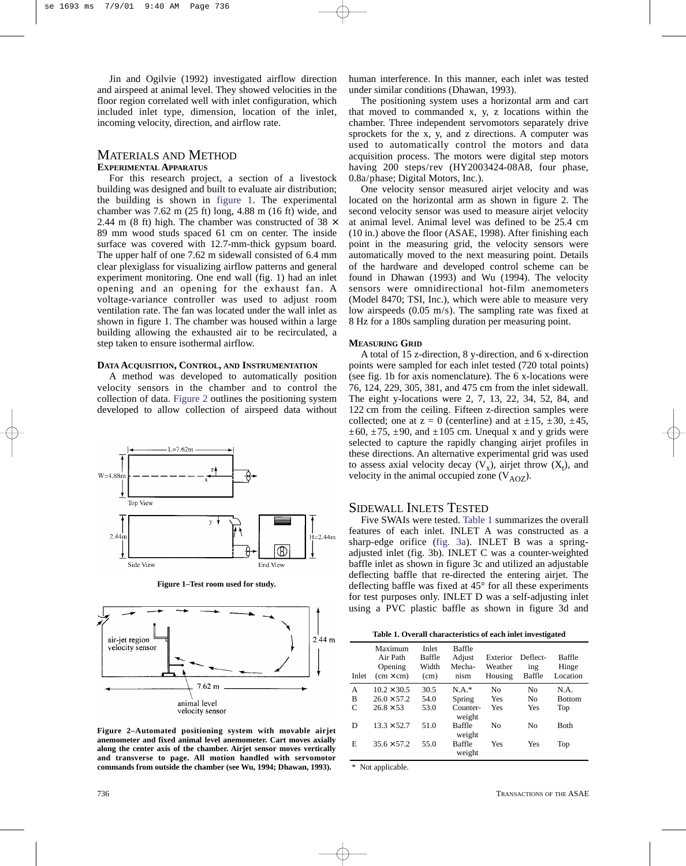Jin and Ogilvie (1992) investigated airflow direction and airspeed at animal level. They showed velocities in the floor region correlated well with inlet configuration, which included inlet type, dimension, location of the inlet, incoming velocity, direction, and airflow rate.

# MATERIALS AND METHOD **EXPERIMENTAL APPARATUS**

For this research project, a section of a livestock building was designed and built to evaluate air distribution; the building is shown in figure 1. The experimental chamber was 7.62 m (25 ft) long, 4.88 m (16 ft) wide, and 2.44 m (8 ft) high. The chamber was constructed of  $38 \times$ 89 mm wood studs spaced 61 cm on center. The inside surface was covered with 12.7-mm-thick gypsum board. The upper half of one 7.62 m sidewall consisted of 6.4 mm clear plexiglass for visualizing airflow patterns and general experiment monitoring. One end wall (fig. 1) had an inlet opening and an opening for the exhaust fan. A voltage-variance controller was used to adjust room ventilation rate. The fan was located under the wall inlet as shown in figure 1. The chamber was housed within a large building allowing the exhausted air to be recirculated, a step taken to ensure isothermal airflow.

#### **DATA ACQUISITION, CONTROL, AND INSTRUMENTATION**

A method was developed to automatically position velocity sensors in the chamber and to control the collection of data. Figure 2 outlines the positioning system developed to allow collection of airspeed data without



**Figure 1–Test room used for study.**



**Figure 2–Automated positioning system with movable airjet anemometer and fixed animal level anemometer. Cart moves axially along the center axis of the chamber. Airjet sensor moves vertically and transverse to page. All motion handled with servomotor commands from outside the chamber (see Wu, 1994; Dhawan, 1993).**

human interference. In this manner, each inlet was tested under similar conditions (Dhawan, 1993).

The positioning system uses a horizontal arm and cart that moved to commanded x, y, z locations within the chamber. Three independent servomotors separately drive sprockets for the x, y, and z directions. A computer was used to automatically control the motors and data acquisition process. The motors were digital step motors having 200 steps/rev (HY2003424-08A8, four phase, 0.8a/phase; Digital Motors, Inc.).

One velocity sensor measured airjet velocity and was located on the horizontal arm as shown in figure 2. The second velocity sensor was used to measure airjet velocity at animal level. Animal level was defined to be 25.4 cm (10 in.) above the floor (ASAE, 1998). After finishing each point in the measuring grid, the velocity sensors were automatically moved to the next measuring point. Details of the hardware and developed control scheme can be found in Dhawan (1993) and Wu (1994). The velocity sensors were omnidirectional hot-film anemometers (Model 8470; TSI, Inc.), which were able to measure very low airspeeds (0.05 m/s). The sampling rate was fixed at 8 Hz for a 180s sampling duration per measuring point.

#### **MEASURING GRID**

A total of 15 z-direction, 8 y-direction, and 6 x-direction points were sampled for each inlet tested (720 total points) (see fig. 1b for axis nomenclature). The 6 x-locations were 76, 124, 229, 305, 381, and 475 cm from the inlet sidewall. The eight y-locations were 2, 7, 13, 22, 34, 52, 84, and 122 cm from the ceiling. Fifteen z-direction samples were collected; one at  $z = 0$  (centerline) and at  $\pm 15$ ,  $\pm 30$ ,  $\pm 45$ ,  $\pm 60$ ,  $\pm 75$ ,  $\pm 90$ , and  $\pm 105$  cm. Unequal x and y grids were selected to capture the rapidly changing airjet profiles in these directions. An alternative experimental grid was used to assess axial velocity decay  $(V_x)$ , airjet throw  $(X_t)$ , and velocity in the animal occupied zone  $(V_{AOZ})$ .

# SIDEWALL INLETS TESTED

Five SWAIs were tested. Table 1 summarizes the overall features of each inlet. INLET A was constructed as a sharp-edge orifice (fig. 3a). INLET B was a springadjusted inlet (fig. 3b). INLET C was a counter-weighted baffle inlet as shown in figure 3c and utilized an adjustable deflecting baffle that re-directed the entering airjet. The deflecting baffle was fixed at 45° for all these experiments for test purposes only. INLET D was a self-adjusting inlet using a PVC plastic baffle as shown in figure 3d and

|  | Table 1. Overall characteristics of each inlet investigated |  |  |
|--|-------------------------------------------------------------|--|--|
|--|-------------------------------------------------------------|--|--|

| Inlet | Maximum<br>Air Path<br>Opening<br>$(cm \times cm)$ | Inlet<br><b>Baffle</b><br>Width<br>(cm) | Baffle<br>Adjust<br>Mecha-<br>nism | Exterior<br>Weather<br>Housing | Deflect-<br>ing<br>Baffle | Baffle<br>Hinge<br>Location |
|-------|----------------------------------------------------|-----------------------------------------|------------------------------------|--------------------------------|---------------------------|-----------------------------|
| A     | $10.2 \times 30.5$                                 | 30.5                                    | $N.A.*$                            | No                             | N <sub>0</sub>            | N.A.                        |
| B     | $26.0 \times 57.2$                                 | 54.0                                    | Spring                             | Yes                            | N <sub>0</sub>            | <b>Bottom</b>               |
| C     | $26.8 \times 53$                                   | 53.0                                    | Counter-<br>weight                 | Yes                            | Yes                       | Top                         |
| D     | $13.3 \times 52.7$                                 | 51.0                                    | Baffle<br>weight                   | No                             | N <sub>0</sub>            | <b>Both</b>                 |
| E     | $35.6 \times 57.2$                                 | 55.0                                    | <b>Baffle</b><br>weight            | Yes                            | Yes                       | Top                         |

\* Not applicable.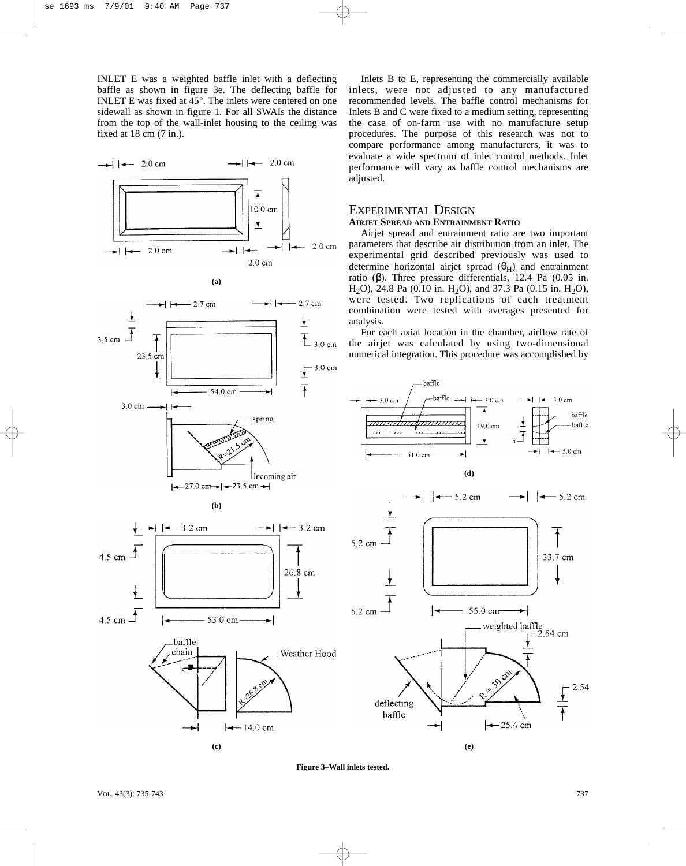INLET E was a weighted baffle inlet with a deflecting baffle as shown in figure 3e. The deflecting baffle for INLET E was fixed at 45°. The inlets were centered on one sidewall as shown in figure 1. For all SWAIs the distance from the top of the wall-inlet housing to the ceiling was fixed at 18 cm (7 in.).











Inlets B to E, representing the commercially available inlets, were not adjusted to any manufactured recommended levels. The baffle control mechanisms for Inlets B and C were fixed to a medium setting, representing the case of on-farm use with no manufacture setup procedures. The purpose of this research was not to compare performance among manufacturers, it was to evaluate a wide spectrum of inlet control methods. Inlet performance will vary as baffle control mechanisms are adjusted.

# EXPERIMENTAL DESIGN **AIRJET SPREAD AND ENTRAINMENT RATIO**

Airjet spread and entrainment ratio are two important parameters that describe air distribution from an inlet. The experimental grid described previously was used to determine horizontal airjet spread  $(\theta_H)$  and entrainment ratio (β). Three pressure differentials, 12.4 Pa (0.05 in. H<sub>2</sub>O), 24.8 Pa (0.10 in. H<sub>2</sub>O), and 37.3 Pa (0.15 in. H<sub>2</sub>O), were tested. Two replications of each treatment combination were tested with averages presented for analysis.

For each axial location in the chamber, airflow rate of the airjet was calculated by using two-dimensional numerical integration. This procedure was accomplished by



**Figure 3–Wall inlets tested.**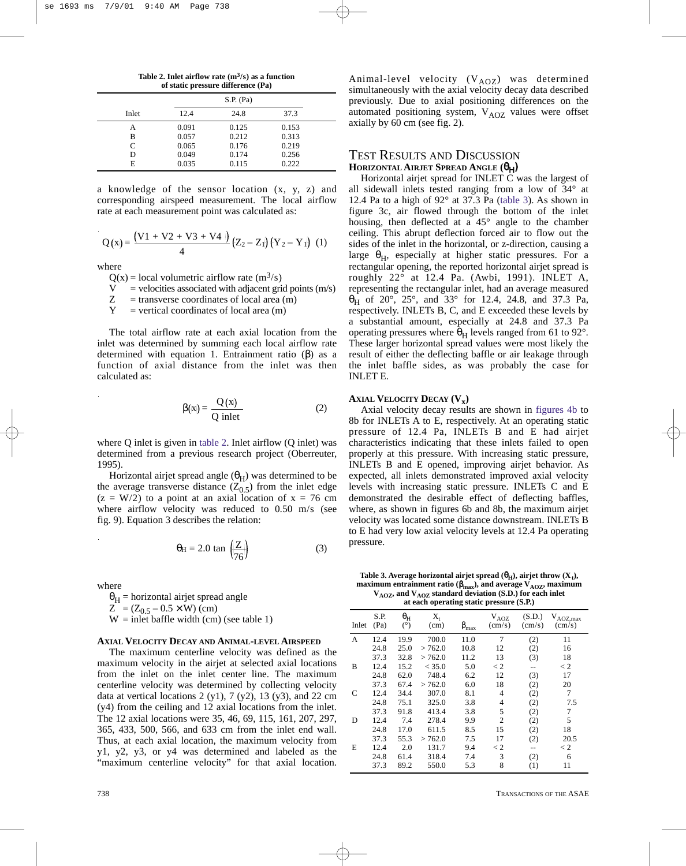| Table 2. Inlet airflow rate $(m^3/s)$ as a function |  |  |  |  |
|-----------------------------------------------------|--|--|--|--|
| of static pressure difference (Pa)                  |  |  |  |  |

|       |       | S.P. (Pa) |       |  |
|-------|-------|-----------|-------|--|
| Inlet | 12.4  | 24.8      | 37.3  |  |
| А     | 0.091 | 0.125     | 0.153 |  |
| B     | 0.057 | 0.212     | 0.313 |  |
| C     | 0.065 | 0.176     | 0.219 |  |
| D     | 0.049 | 0.174     | 0.256 |  |
| F.    | 0.035 | 0.115     | 0.222 |  |
|       |       |           |       |  |

a knowledge of the sensor location (x, y, z) and corresponding airspeed measurement. The local airflow rate at each measurement point was calculated as:

$$
Q(x) = \frac{(V1 + V2 + V3 + V4)}{4} (Z_2 - Z_1) (Y_2 - Y_1)
$$
 (1)

where

 $Q(x) =$ local volumetric airflow rate  $(m<sup>3</sup>/s)$ 

 $V =$  velocities associated with adjacent grid points (m/s)

 $Z =$  transverse coordinates of local area (m)

 $Y = vertical coordinates of local area (m)$ 

The total airflow rate at each axial location from the inlet was determined by summing each local airflow rate determined with equation 1. Entrainment ratio (β) as a function of axial distance from the inlet was then calculated as:

$$
\beta(x) = \frac{Q(x)}{Q \text{ inlet}} \tag{2}
$$

where Q inlet is given in table 2. Inlet airflow (Q inlet) was determined from a previous research project (Oberreuter, 1995).

Horizontal airjet spread angle  $(\theta_H)$  was determined to be the average transverse distance  $(Z_{0.5})$  from the inlet edge  $(z = W/2)$  to a point at an axial location of  $x = 76$  cm where airflow velocity was reduced to 0.50 m/s (see fig. 9). Equation 3 describes the relation:

$$
\theta_{\rm H} = 2.0 \tan \left(\frac{Z}{76}\right) \tag{3}
$$
 pressure.

where

 $\theta_H$  = horizontal airjet spread angle  $Z = (Z_{0.5} - 0.5 \times W)$  (cm)  $W =$  inlet baffle width (cm) (see table 1)

# **AXIAL VELOCITY DECAY AND ANIMAL-LEVEL AIRSPEED**

The maximum centerline velocity was defined as the maximum velocity in the airjet at selected axial locations from the inlet on the inlet center line. The maximum centerline velocity was determined by collecting velocity data at vertical locations  $2(y1)$ ,  $7(y2)$ ,  $13(y3)$ , and  $22 \text{ cm}$ (y4) from the ceiling and 12 axial locations from the inlet. The 12 axial locations were 35, 46, 69, 115, 161, 207, 297, 365, 433, 500, 566, and 633 cm from the inlet end wall. Thus, at each axial location, the maximum velocity from y1, y2, y3, or y4 was determined and labeled as the "maximum centerline velocity" for that axial location.

# TEST RESULTS AND DISCUSSION **HORIZONTAL AIRJET SPREAD ANGLE (**θΗ)

Horizontal airjet spread for INLET C was the largest of all sidewall inlets tested ranging from a low of 34° at 12.4 Pa to a high of 92° at 37.3 Pa (table 3). As shown in figure 3c, air flowed through the bottom of the inlet housing, then deflected at a 45° angle to the chamber ceiling. This abrupt deflection forced air to flow out the sides of the inlet in the horizontal, or z-direction, causing a large  $\theta_H$ , especially at higher static pressures. For a rectangular opening, the reported horizontal airjet spread is roughly 22° at 12.4 Pa. (Awbi, 1991). INLET A, representing the rectangular inlet, had an average measured  $\theta_H$  of 20°, 25°, and 33° for 12.4, 24.8, and 37.3 Pa, respectively. INLETs B, C, and E exceeded these levels by a substantial amount, especially at 24.8 and 37.3 Pa operating pressures where  $\theta_H$  levels ranged from 61 to 92°. These larger horizontal spread values were most likely the result of either the deflecting baffle or air leakage through the inlet baffle sides, as was probably the case for INLET E.

# **AXIAL VELOCITY DECAY (Vx)**

Axial velocity decay results are shown in figures 4b to 8b for INLETs A to E, respectively. At an operating static pressure of 12.4 Pa, INLETs B and E had airjet characteristics indicating that these inlets failed to open properly at this pressure. With increasing static pressure, INLETs B and E opened, improving airjet behavior. As expected, all inlets demonstrated improved axial velocity levels with increasing static pressure. INLETs C and E demonstrated the desirable effect of deflecting baffles, where, as shown in figures 6b and 8b, the maximum airjet velocity was located some distance downstream. INLETs B to E had very low axial velocity levels at 12.4 Pa operating

Table 3. Average horizontal airjet spread  $(\theta_H)$ , airjet throw  $(X_t)$ , **maximum entrainment ratio (** $\beta_{\text{max}}$ ), and average  $V_{\text{AOZ}}$ , maximum **VAOZ, and VAOZ standard deviation (S.D.) for each inlet**

| at each operating static pressure (S.P.) |              |                   |                 |                      |                                  |                           |                                  |
|------------------------------------------|--------------|-------------------|-----------------|----------------------|----------------------------------|---------------------------|----------------------------------|
| Inlet                                    | S.P.<br>(Pa) | $\theta_H$<br>(°) | $X_{t}$<br>(cm) | $\beta_{\text{max}}$ | $\rm V_{AOZ}$<br>$\text{(cm/s)}$ | (S.D.)<br>$\text{(cm/s)}$ | $V_{AOZ,max}$<br>$\text{(cm/s)}$ |
| A                                        | 12.4         | 19.9              | 700.0           | 11.0                 | 7                                | (2)                       | 11                               |
|                                          | 24.8         | 25.0              | > 762.0         | 10.8                 | 12                               | (2)                       | 16                               |
|                                          | 37.3         | 32.8              | >762.0          | 11.2                 | 13                               | (3)                       | 18                               |
| B                                        | 12.4         | 15.2              | < 35.0          | 5.0                  | $\lt 2$                          |                           | $\lt 2$                          |
|                                          | 24.8         | 62.0              | 748.4           | 6.2                  | 12                               | (3)                       | 17                               |
|                                          | 37.3         | 67.4              | >762.0          | 6.0                  | 18                               | (2)                       | 20                               |
| C                                        | 12.4         | 34.4              | 307.0           | 8.1                  | 4                                | (2)                       | 7                                |
|                                          | 24.8         | 75.1              | 325.0           | 3.8                  | 4                                | (2)                       | 7.5                              |
|                                          | 37.3         | 91.8              | 413.4           | 3.8                  | 5                                | (2)                       | 7                                |
| D                                        | 12.4         | 7.4               | 278.4           | 9.9                  | $\overline{c}$                   | (2)                       | 5                                |
|                                          | 24.8         | 17.0              | 611.5           | 8.5                  | 15                               | (2)                       | 18                               |
|                                          | 37.3         | 55.3              | > 762.0         | 7.5                  | 17                               | (2)                       | 20.5                             |
| E                                        | 12.4         | 2.0               | 131.7           | 9.4                  | ${<}\,2$                         |                           | $\rm{<}2$                        |
|                                          | 24.8         | 61.4              | 318.4           | 7.4                  | 3                                | (2)                       | 6                                |
|                                          | 37.3         | 89.2              | 550.0           | 5.3                  | 8                                | (1)                       | 11                               |

738 TRANSACTIONS OF THE ASAE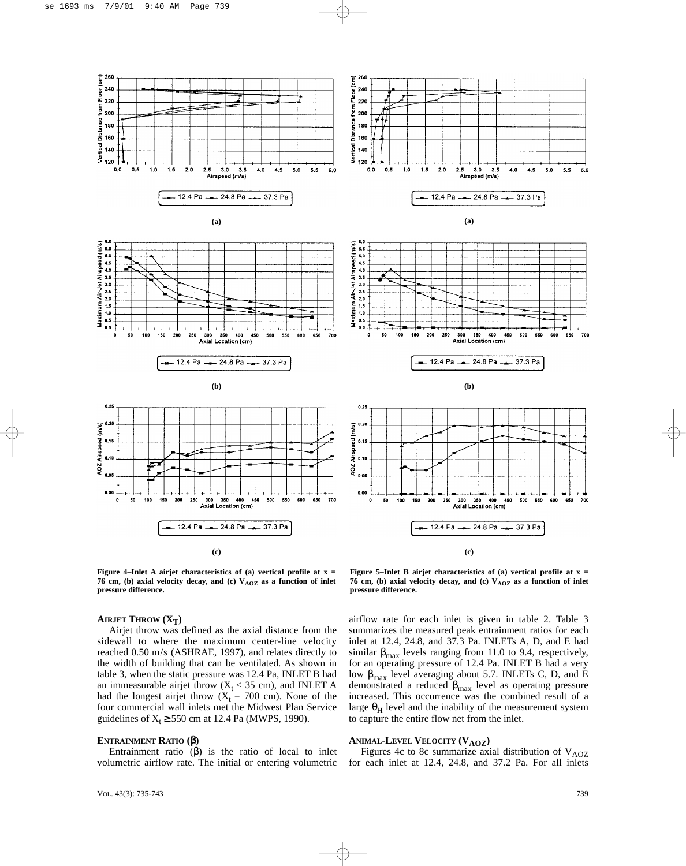

**(c)**

**Figure 4–Inlet A airjet characteristics of (a) vertical profile at x =** 76 cm, (b) axial velocity decay, and (c)  $V_{AOZ}$  as a function of inlet **pressure difference.**

#### **Figure 5–Inlet B airjet characteristics of (a) vertical profile at x =** 76 cm, (b) axial velocity decay, and (c) V<sub>AOZ</sub> as a function of inlet **pressure difference.**

# **AIRJET THROW** ( $X_T$ )

Airjet throw was defined as the axial distance from the sidewall to where the maximum center-line velocity reached 0.50 m/s (ASHRAE, 1997), and relates directly to the width of building that can be ventilated. As shown in table 3, when the static pressure was 12.4 Pa, INLET B had an immeasurable airjet throw  $(X_t < 35$  cm), and INLET A had the longest airjet throw  $(X_t = 700 \text{ cm})$ . None of the four commercial wall inlets met the Midwest Plan Service guidelines of  $X_t \ge 550$  cm at 12.4 Pa (MWPS, 1990).

#### **ENTRAINMENT RATIO (**β**)**

Entrainment ratio  $(\beta)$  is the ratio of local to inlet volumetric airflow rate. The initial or entering volumetric

airflow rate for each inlet is given in table 2. Table 3 summarizes the measured peak entrainment ratios for each inlet at 12.4, 24.8, and 37.3 Pa. INLETs A, D, and E had similar  $\beta_{\text{max}}$  levels ranging from 11.0 to 9.4, respectively, for an operating pressure of 12.4 Pa. INLET B had a very low  $β<sub>max</sub>$  level averaging about 5.7. INLETs C, D, and E demonstrated a reduced  $β<sub>max</sub>$  level as operating pressure increased. This occurrence was the combined result of a large  $\theta_H$  level and the inability of the measurement system to capture the entire flow net from the inlet.

# **ANIMAL-LEVEL VELOCITY (VAOZ)**

Figures 4c to 8c summarize axial distribution of  $V_{AOZ}$ for each inlet at 12.4, 24.8, and 37.2 Pa. For all inlets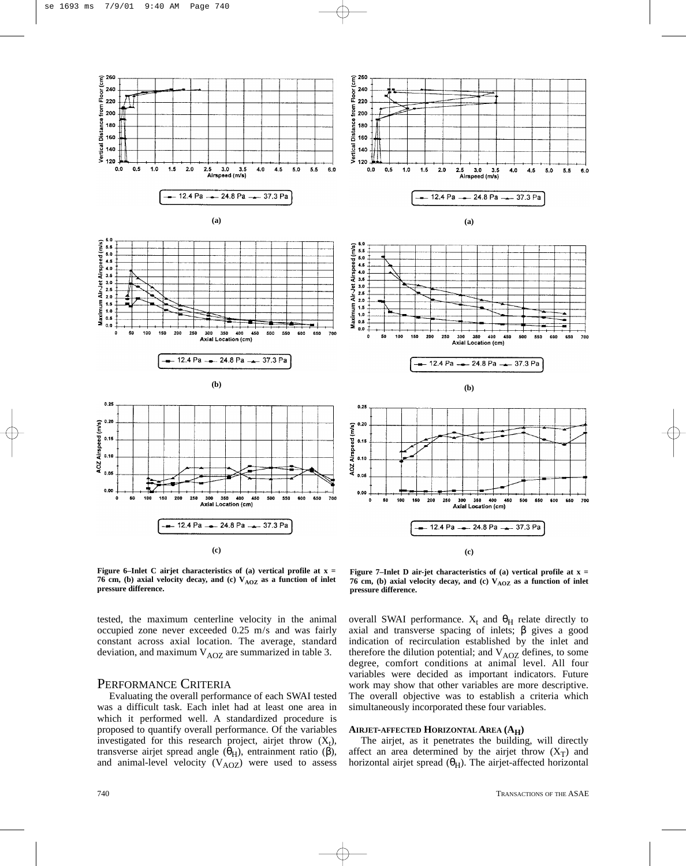

**Figure 6–Inlet C airjet characteristics of (a) vertical profile at x =** 76 cm, (b) axial velocity decay, and (c)  $V_{AOZ}$  as a function of inlet **pressure difference.**

tested, the maximum centerline velocity in the animal occupied zone never exceeded 0.25 m/s and was fairly constant across axial location. The average, standard deviation, and maximum  $V_{\rm{AOZ}}$  are summarized in table 3.

### PERFORMANCE CRITERIA

Evaluating the overall performance of each SWAI tested was a difficult task. Each inlet had at least one area in which it performed well. A standardized procedure is proposed to quantify overall performance. Of the variables investigated for this research project, airjet throw  $(X_t)$ , transverse airjet spread angle ( $θ$ H), entrainment ratio (β), and animal-level velocity  $(V_{AOZ})$  were used to assess

**Figure 7–Inlet D air-jet characteristics of (a) vertical profile at x = 76 cm, (b) axial velocity decay, and (c)**  $V_{AOZ}$  **as a function of inlet pressure difference.**

overall SWAI performance.  $X_t$  and  $\theta_H$  relate directly to axial and transverse spacing of inlets;  $β$  gives a good indication of recirculation established by the inlet and therefore the dilution potential; and  $V_{AOZ}$  defines, to some degree, comfort conditions at animal level. All four variables were decided as important indicators. Future work may show that other variables are more descriptive. The overall objective was to establish a criteria which simultaneously incorporated these four variables.

#### **AIRJET-AFFECTED HORIZONTAL AREA (AH)**

The airjet, as it penetrates the building, will directly affect an area determined by the airjet throw  $(X_T)$  and horizontal airjet spread ( $\theta_H$ ). The airjet-affected horizontal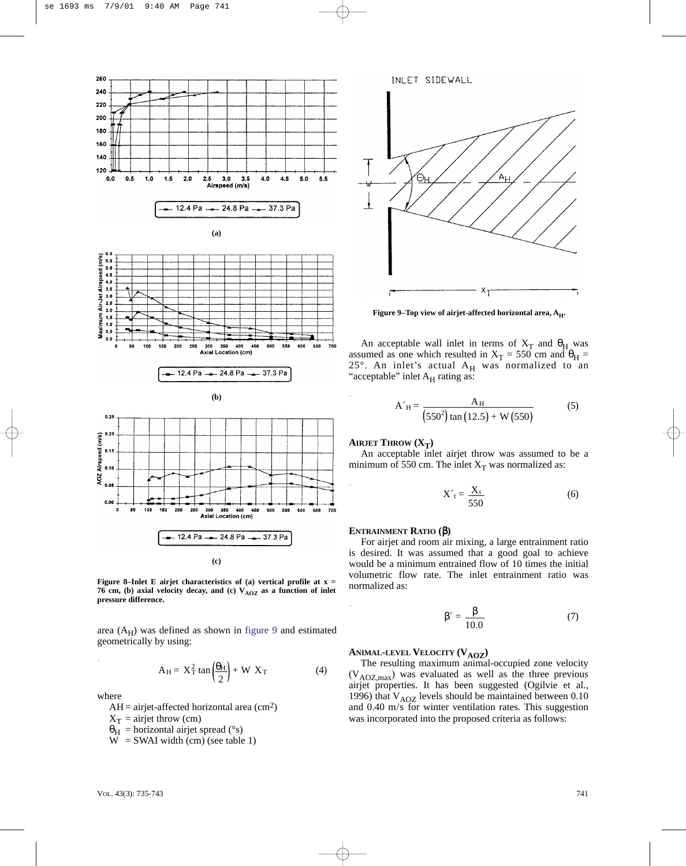

**Figure 8–Inlet E airjet characteristics of (a) vertical profile at x =** 76 cm, (b) axial velocity decay, and (c) V<sub>AOZ</sub> as a function of inlet **pressure difference.**

area  $(A_H)$  was defined as shown in figure 9 and estimated geometrically by using:

$$
A_H = X_T^2 \tan\left(\frac{\theta_H}{2}\right) + W X_T \tag{4}
$$

where

 $AH = airjet-affected horizontal area (cm<sup>2</sup>)$ 

 $X_T$  = airjet throw (cm)

 $\theta_H$  = horizontal airjet spread (°s)

 $\overrightarrow{W}$  = SWAI width (cm) (see table 1)

INLET SIDEWALL



**Figure 9–Top view of airjet-affected horizontal area, AH.**

An acceptable wall inlet in terms of  $X_T$  and  $\theta_H$  was assumed as one which resulted in  $X_T = 550$  cm and  $\theta_H =$  $25^{\circ}$ . An inlet's actual  $A_H$  was normalized to an "acceptable" inlet  $A_H$  rating as:

$$
A'_{H} = \frac{A_{H}}{(550^{2})\tan(12.5) + W(550)}
$$
 (5)

**AIRJET THROW** ( $X_T$ )

An acceptable inlet airjet throw was assumed to be a minimum of 550 cm. The inlet  $X_T$  was normalized as:

$$
X'_{t} = \frac{X_{t}}{550}
$$
 (6)

# **ENTRAINMENT RATIO (**β**)**

For airjet and room air mixing, a large entrainment ratio is desired. It was assumed that a good goal to achieve would be a minimum entrained flow of 10 times the initial volumetric flow rate. The inlet entrainment ratio was normalized as:

$$
\beta' = \frac{\beta}{10.0}
$$
 (7)

# **ANIMAL-LEVEL VELOCITY** (V<sub>AOZ</sub>)

The resulting maximum animal-occupied zone velocity  $(V_{A O Z, max})$  was evaluated as well as the three previous airjet properties. It has been suggested (Ogilvie et al., 1996) that  $V_{AOZ}$  levels should be maintained between 0.10 and 0.40 m/s for winter ventilation rates. This suggestion was incorporated into the proposed criteria as follows: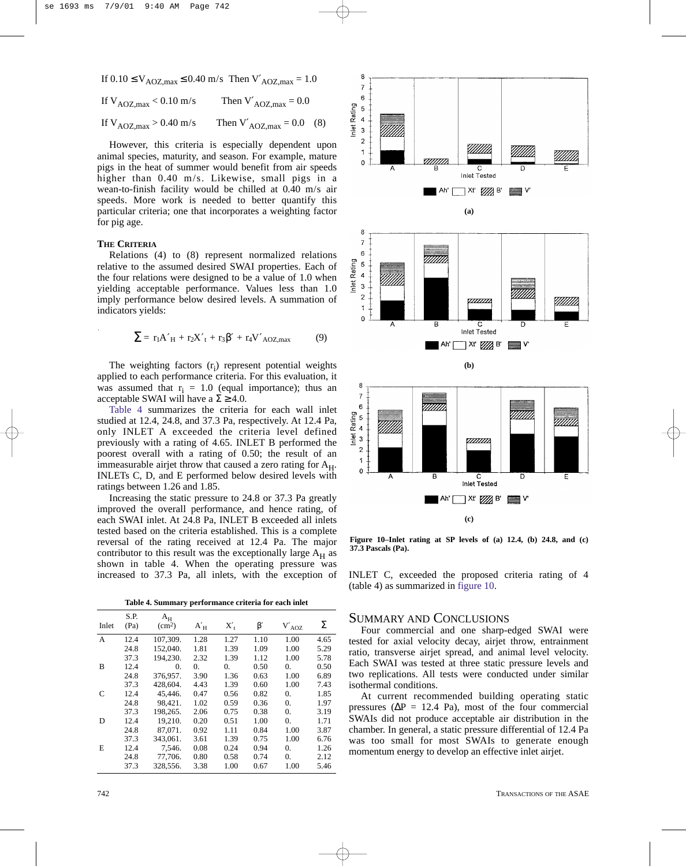If  $0.10 \le V_{AOZ, max} \le 0.40$  m/s Then  $V'_{AOZ, max} = 1.0$ 

| If $V_{AOZ, max}$ < 0.10 m/s | Then $V'_{A OZ, max} = 0.0$     |  |
|------------------------------|---------------------------------|--|
| If $V_{Aoz,max} > 0.40$ m/s  | Then $V'_{A OZ, max} = 0.0$ (8) |  |

However, this criteria is especially dependent upon animal species, maturity, and season. For example, mature pigs in the heat of summer would benefit from air speeds higher than 0.40 m/s. Likewise, small pigs in a wean-to-finish facility would be chilled at 0.40 m/s air speeds. More work is needed to better quantify this particular criteria; one that incorporates a weighting factor for pig age.

#### **THE CRITERIA**

Relations (4) to (8) represent normalized relations relative to the assumed desired SWAI properties. Each of the four relations were designed to be a value of 1.0 when yielding acceptable performance. Values less than 1.0 imply performance below desired levels. A summation of indicators yields:

$$
\sum = r_1 A'_{H} + r_2 X'_{t} + r_3 \beta' + r_4 V'_{A O Z, max}
$$
 (9)

The weighting factors  $(r<sub>i</sub>)$  represent potential weights applied to each performance criteria. For this evaluation, it was assumed that  $r_i = 1.0$  (equal importance); thus an acceptable SWAI will have a  $\Sigma \geq 4.0$ .

Table 4 summarizes the criteria for each wall inlet studied at 12.4, 24.8, and 37.3 Pa, respectively. At 12.4 Pa, only INLET A exceeded the criteria level defined previously with a rating of 4.65. INLET B performed the poorest overall with a rating of 0.50; the result of an immeasurable airjet throw that caused a zero rating for  $A_H$ . INLETs C, D, and E performed below desired levels with ratings between 1.26 and 1.85.

Increasing the static pressure to 24.8 or 37.3 Pa greatly improved the overall performance, and hence rating, of each SWAI inlet. At 24.8 Pa, INLET B exceeded all inlets tested based on the criteria established. This is a complete reversal of the rating received at 12.4 Pa. The major contributor to this result was the exceptionally large  $A_H$  as shown in table 4. When the operating pressure was increased to 37.3 Pa, all inlets, with the exception of INLET C, exceeded the proposed criteria rating of 4

**Table 4. Summary performance criteria for each inlet**

| Inlet | S.P.<br>(Pa) | $A_H$<br>(cm <sup>2</sup> ) | $A^\prime_{\;H}$ | $X_{t}^{\prime}$ | β′   | ${\rm V'_{AOZ}}$ | Σ    |
|-------|--------------|-----------------------------|------------------|------------------|------|------------------|------|
| A     | 12.4         | 107.309.                    | 1.28             | 1.27             | 1.10 | 1.00             | 4.65 |
|       | 24.8         | 152,040.                    | 1.81             | 1.39             | 1.09 | 1.00             | 5.29 |
|       | 37.3         | 194.230.                    | 2.32             | 1.39             | 1.12 | 1.00             | 5.78 |
| B     | 12.4         | $\Omega$ .                  | 0.               | 0.               | 0.50 | 0.               | 0.50 |
|       | 24.8         | 376,957.                    | 3.90             | 1.36             | 0.63 | 1.00             | 6.89 |
|       | 37.3         | 428.604.                    | 4.43             | 1.39             | 0.60 | 1.00             | 7.43 |
| C     | 12.4         | 45,446.                     | 0.47             | 0.56             | 0.82 | 0.               | 1.85 |
|       | 24.8         | 98.421.                     | 1.02             | 0.59             | 0.36 | 0.               | 1.97 |
|       | 37.3         | 198.265.                    | 2.06             | 0.75             | 0.38 | $\Omega$ .       | 3.19 |
| D     | 12.4         | 19.210.                     | 0.20             | 0.51             | 1.00 | 0.               | 1.71 |
|       | 24.8         | 87.071.                     | 0.92             | 1.11             | 0.84 | 1.00             | 3.87 |
|       | 37.3         | 343.061.                    | 3.61             | 1.39             | 0.75 | 1.00             | 6.76 |
| E     | 12.4         | 7.546.                      | 0.08             | 0.24             | 0.94 | 0.               | 1.26 |
|       | 24.8         | 77.706.                     | 0.80             | 0.58             | 0.74 | 0.               | 2.12 |
|       | 37.3         | 328,556.                    | 3.38             | 1.00             | 0.67 | 1.00             | 5.46 |



**Figure 10–Inlet rating at SP levels of (a) 12.4, (b) 24.8, and (c) 37.3 Pascals (Pa).**

(table 4) as summarized in figure 10.

# SUMMARY AND CONCLUSIONS

Four commercial and one sharp-edged SWAI were tested for axial velocity decay, airjet throw, entrainment ratio, transverse airjet spread, and animal level velocity. Each SWAI was tested at three static pressure levels and two replications. All tests were conducted under similar isothermal conditions.

At current recommended building operating static pressures ( $\Delta P = 12.4$  Pa), most of the four commercial SWAIs did not produce acceptable air distribution in the chamber. In general, a static pressure differential of 12.4 Pa was too small for most SWAIs to generate enough momentum energy to develop an effective inlet airjet.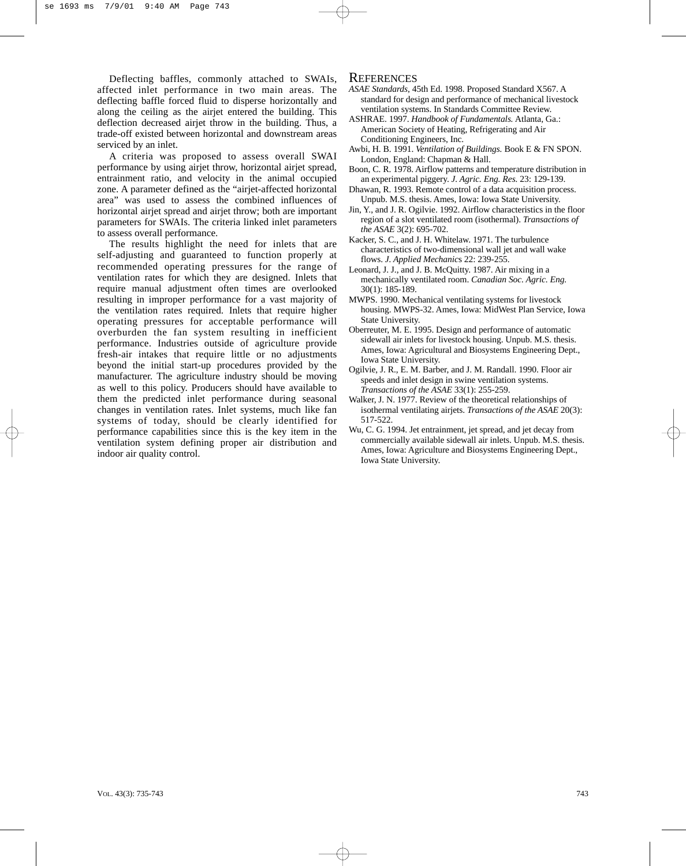Deflecting baffles, commonly attached to SWAIs, affected inlet performance in two main areas. The deflecting baffle forced fluid to disperse horizontally and along the ceiling as the airjet entered the building. This deflection decreased airjet throw in the building. Thus, a trade-off existed between horizontal and downstream areas serviced by an inlet.

A criteria was proposed to assess overall SWAI performance by using airjet throw, horizontal airjet spread, entrainment ratio, and velocity in the animal occupied zone. A parameter defined as the "airjet-affected horizontal area" was used to assess the combined influences of horizontal airjet spread and airjet throw; both are important parameters for SWAIs. The criteria linked inlet parameters to assess overall performance.

The results highlight the need for inlets that are self-adjusting and guaranteed to function properly at recommended operating pressures for the range of ventilation rates for which they are designed. Inlets that require manual adjustment often times are overlooked resulting in improper performance for a vast majority of the ventilation rates required. Inlets that require higher operating pressures for acceptable performance will overburden the fan system resulting in inefficient performance. Industries outside of agriculture provide fresh-air intakes that require little or no adjustments beyond the initial start-up procedures provided by the manufacturer. The agriculture industry should be moving as well to this policy. Producers should have available to them the predicted inlet performance during seasonal changes in ventilation rates. Inlet systems, much like fan systems of today, should be clearly identified for performance capabilities since this is the key item in the ventilation system defining proper air distribution and indoor air quality control.

# **REFERENCES**

- *ASAE Standards*, 45th Ed. 1998. Proposed Standard X567. A standard for design and performance of mechanical livestock ventilation systems. In Standards Committee Review.
- ASHRAE. 1997. *Handbook of Fundamentals.* Atlanta, Ga.: American Society of Heating, Refrigerating and Air Conditioning Engineers, Inc.
- Awbi, H. B. 1991. *Ventilation of Buildings.* Book E & FN SPON. London, England: Chapman & Hall.
- Boon, C. R. 1978. Airflow patterns and temperature distribution in an experimental piggery. *J. Agric. Eng. Res.* 23: 129-139.
- Dhawan, R. 1993. Remote control of a data acquisition process. Unpub. M.S. thesis. Ames, Iowa: Iowa State University.
- Jin, Y., and J. R. Ogilvie. 1992. Airflow characteristics in the floor region of a slot ventilated room (isothermal). *Transactions of the ASAE* 3(2): 695-702.
- Kacker, S. C., and J. H. Whitelaw. 1971. The turbulence characteristics of two-dimensional wall jet and wall wake flows. *J. Applied Mechanic*s 22: 239-255.
- Leonard, J. J., and J. B. McQuitty. 1987. Air mixing in a mechanically ventilated room. *Canadian Soc. Agric. Eng.* 30(1): 185-189.
- MWPS. 1990. Mechanical ventilating systems for livestock housing. MWPS-32. Ames, Iowa: MidWest Plan Service, Iowa State University.
- Oberreuter, M. E. 1995. Design and performance of automatic sidewall air inlets for livestock housing. Unpub. M.S. thesis. Ames, Iowa: Agricultural and Biosystems Engineering Dept., Iowa State University.
- Ogilvie, J. R., E. M. Barber, and J. M. Randall. 1990. Floor air speeds and inlet design in swine ventilation systems. *Transactions of the ASAE* 33(1): 255-259.
- Walker, J. N. 1977. Review of the theoretical relationships of isothermal ventilating airjets. *Transactions of the ASAE* 20(3): 517-522.
- Wu, C. G. 1994. Jet entrainment, jet spread, and jet decay from commercially available sidewall air inlets. Unpub. M.S. thesis. Ames, Iowa: Agriculture and Biosystems Engineering Dept., Iowa State University.